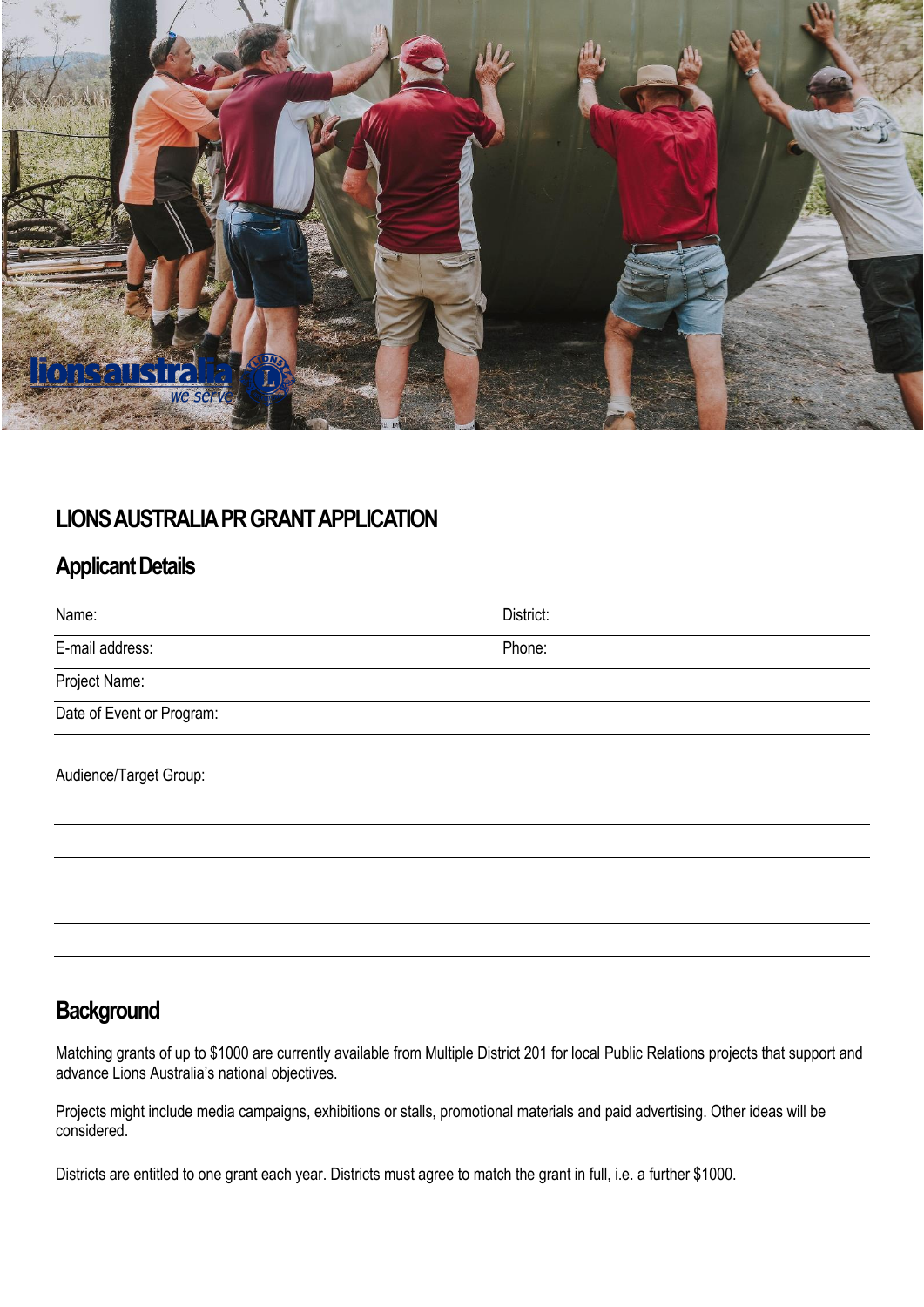

### **LIONS AUSTRALIA PR GRANT APPLICATION**

## **Applicant Details**

| Name:                     | District: |
|---------------------------|-----------|
| E-mail address:           | Phone:    |
| Project Name:             |           |
| Date of Event or Program: |           |
| Audience/Target Group:    |           |
|                           |           |

# **Background**

Matching grants of up to \$1000 are currently available from Multiple District 201 for local Public Relations projects that support and advance Lions Australia's national objectives.

Projects might include media campaigns, exhibitions or stalls, promotional materials and paid advertising. Other ideas will be considered.

Districts are entitled to one grant each year. Districts must agree to match the grant in full, i.e. a further \$1000.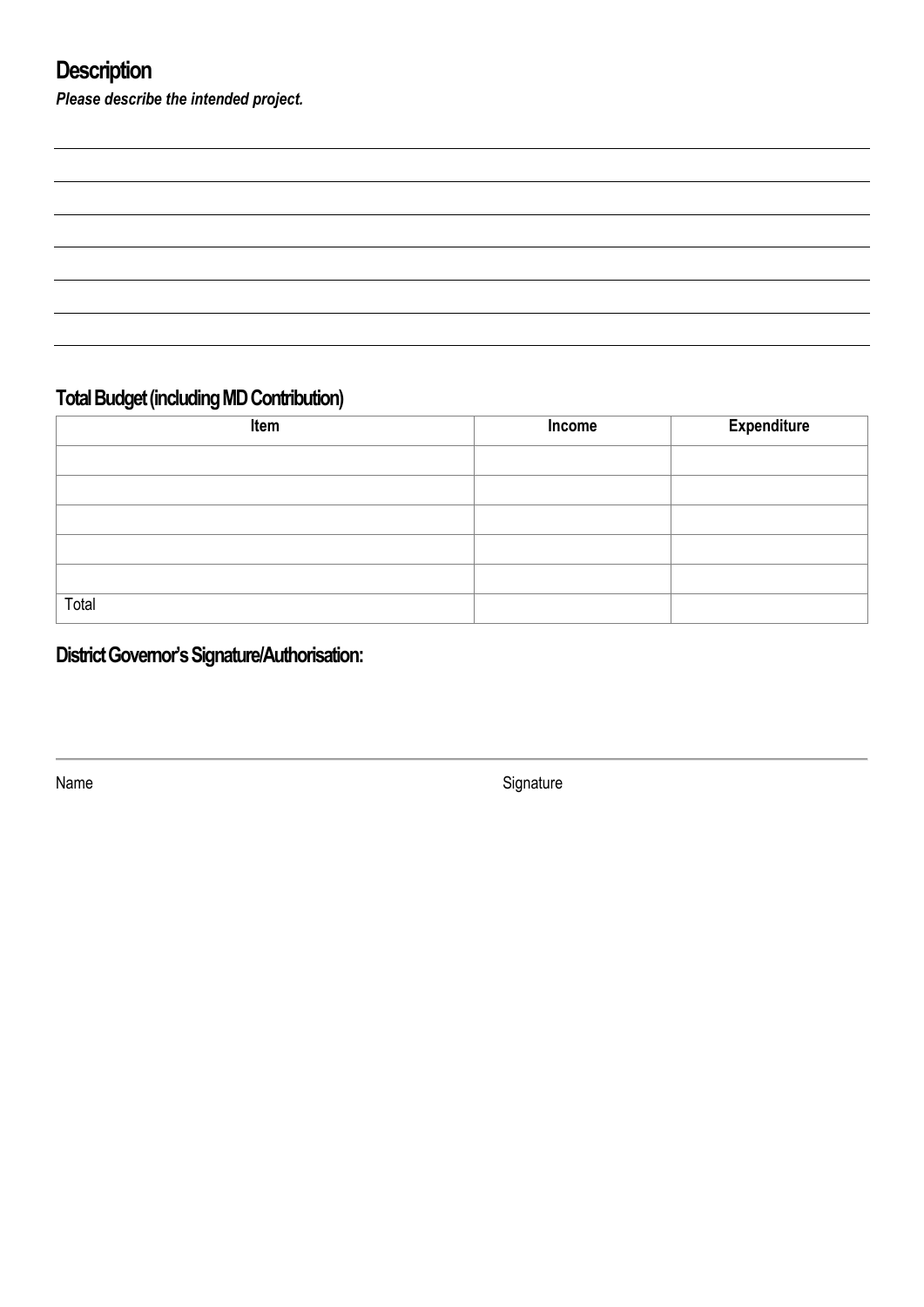# **Description**

*Please describe the intended project.*

## **Total Budget (including MD Contribution)**

| Item  | Income | <b>Expenditure</b> |
|-------|--------|--------------------|
|       |        |                    |
|       |        |                    |
|       |        |                    |
|       |        |                    |
|       |        |                    |
| Total |        |                    |

# **District Governor's Signature/Authorisation:**

Name Signature Signature